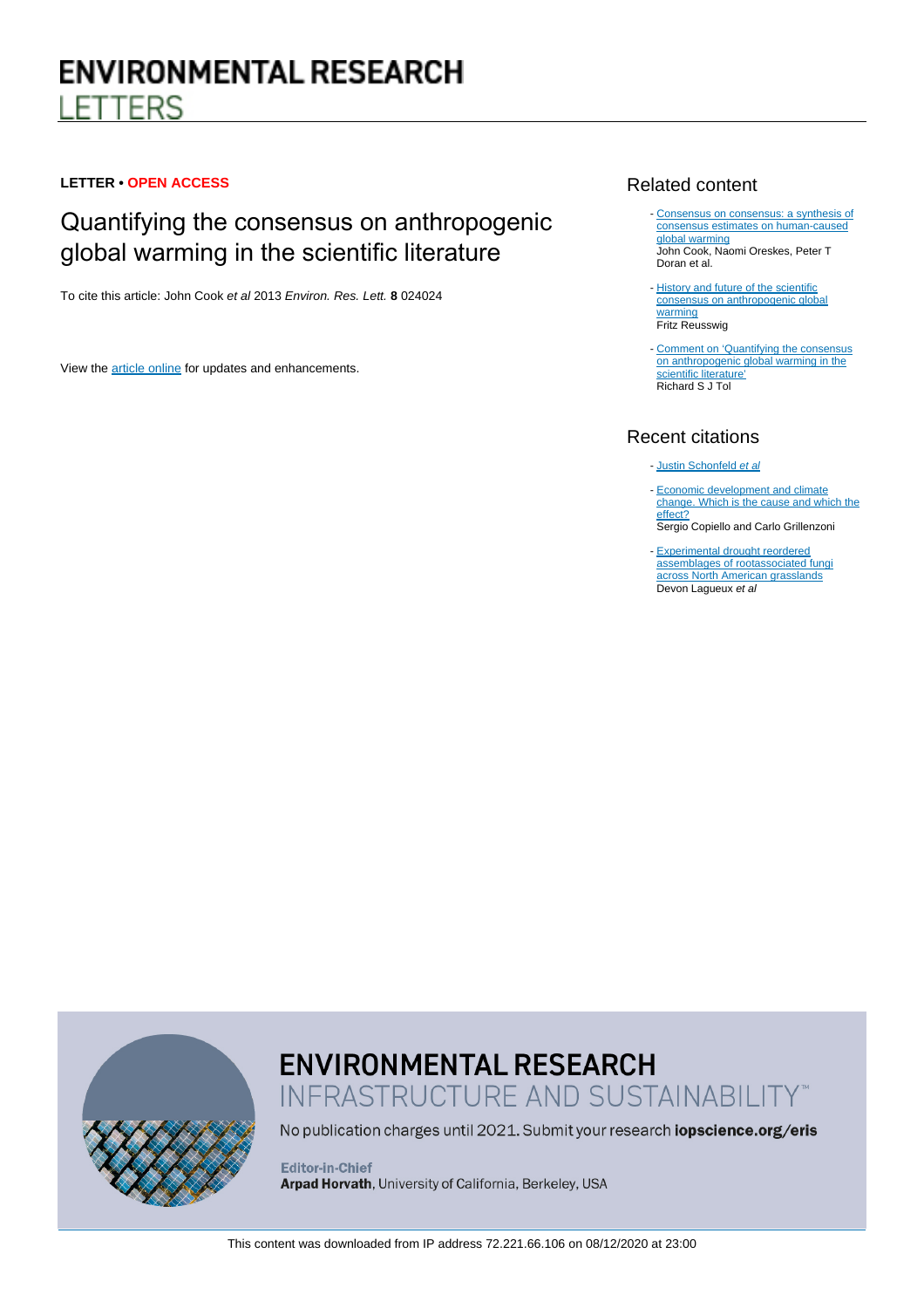## **ENVIRONMENTAL RESEARCH ETTERS**

#### **LETTER • OPEN ACCESS**

## Quantifying the consensus on anthropogenic global warming in the scientific literature

To cite this article: John Cook et al 2013 Environ. Res. Lett. **8** 024024

View the [article online](https://doi.org/10.1088/1748-9326/8/2/024024) for updates and enhancements.

#### Related content

- [Consensus on consensus: a synthesis of](/article/10.1088/1748-9326/11/4/048002) [consensus estimates on human-caused](/article/10.1088/1748-9326/11/4/048002) [global warming](/article/10.1088/1748-9326/11/4/048002) John Cook, Naomi Oreskes, Peter T Doran et al.
- [History and future of the scientific](/article/10.1088/1748-9326/8/3/031003) [consensus on anthropogenic global](/article/10.1088/1748-9326/8/3/031003) [warming](/article/10.1088/1748-9326/8/3/031003) Fritz Reusswig
- [Comment on 'Quantifying the consensus](/article/10.1088/1748-9326/11/4/048001) [on anthropogenic global warming in the](/article/10.1088/1748-9326/11/4/048001) [scientific literature'](/article/10.1088/1748-9326/11/4/048001) Richard S J Tol

### Recent citations

#### - [Justin Schonfeld](http://dx.doi.org/10.1101/2020.11.24.396226) et al

- [Economic development and climate](http://dx.doi.org/10.1016/j.egyr.2020.08.024) [change. Which is the cause and which the](http://dx.doi.org/10.1016/j.egyr.2020.08.024) [effect?](http://dx.doi.org/10.1016/j.egyr.2020.08.024) Sergio Copiello and Carlo Grillenzoni -
- [Experimental drought reordered](http://dx.doi.org/10.1111/1365-2745.13505) [assemblages of rootassociated fungi](http://dx.doi.org/10.1111/1365-2745.13505) [across North American grasslands](http://dx.doi.org/10.1111/1365-2745.13505) Devon Lagueux et al



## **ENVIRONMENTAL RESEARCH** INFRASTRUCTURE AND SUSTAINABILITY

No publication charges until 2021. Submit your research iopscience.org/eris

**Editor-in-Chief** Arpad Horvath, University of California, Berkeley, USA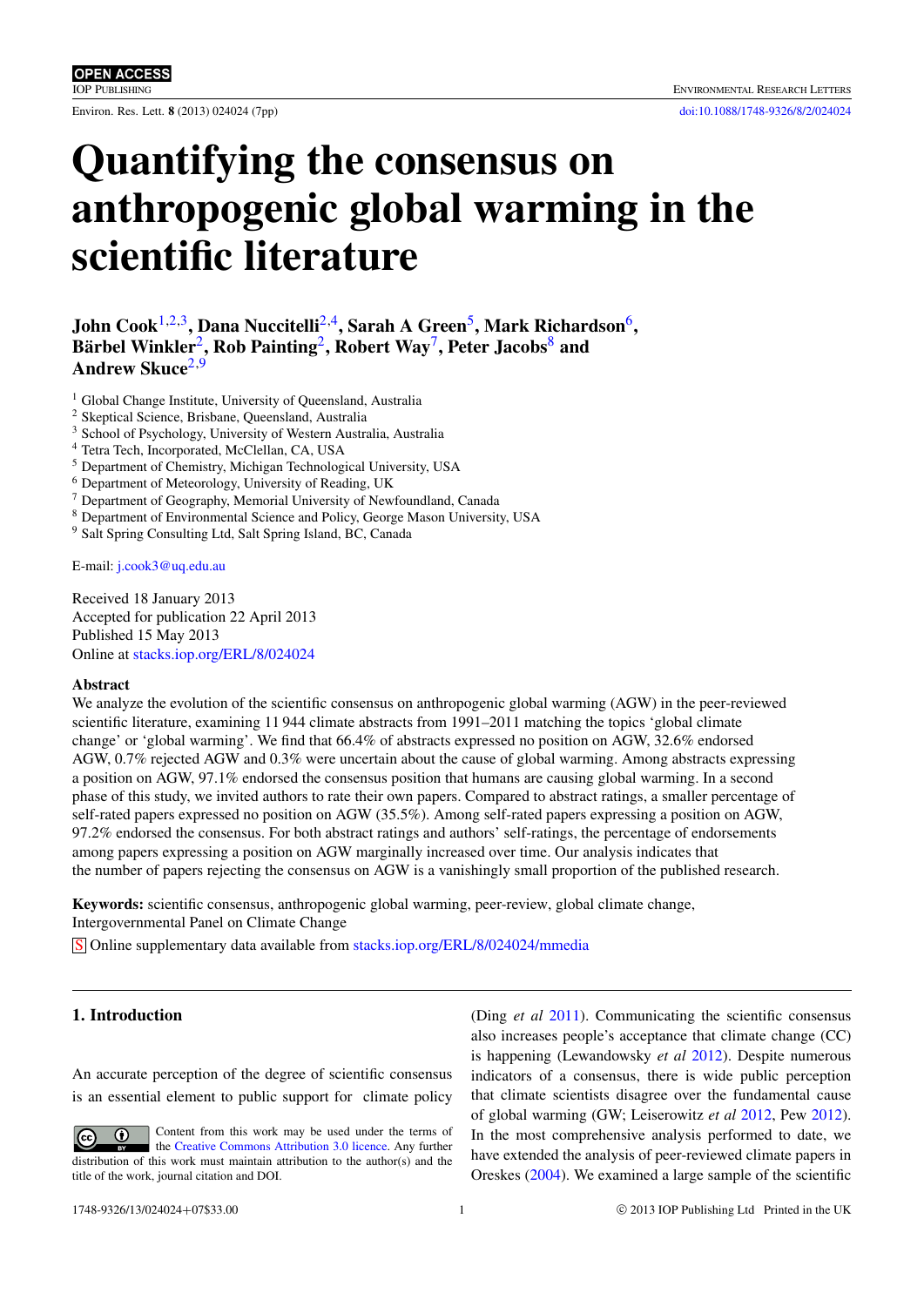Environ. Res. Lett. 8 (2013) 024024 (7pp) [doi:10.1088/1748-9326/8/2/024024](http://dx.doi.org/10.1088/1748-9326/8/2/024024)

# Quantifying the consensus on anthropogenic global warming in the scientific literature

John Cook $^{1,2,3}$  $^{1,2,3}$  $^{1,2,3}$  $^{1,2,3}$  $^{1,2,3}$ , Dana Nuccitelli $^{2,4}$  $^{2,4}$  $^{2,4}$  $^{2,4}$ , Sarah A Green $^5$  $^5$ , Mark Richardson $^6\!$  $^6\!$  $^6\!$ Bärbel Winkler<sup>[2](#page-1-1)</sup>, Rob Painting<sup>2</sup>, Robert Way<sup>[7](#page-1-6)</sup>, Peter Jacobs $^8$  $^8$  and Andrew Skuce $2,9$  $2,9$ 

<span id="page-1-0"></span><sup>1</sup> Global Change Institute, University of Queensland, Australia

<span id="page-1-1"></span><sup>2</sup> Skeptical Science, Brisbane, Queensland, Australia

<span id="page-1-2"></span><sup>3</sup> School of Psychology, University of Western Australia, Australia

<span id="page-1-3"></span><sup>4</sup> Tetra Tech, Incorporated, McClellan, CA, USA

<span id="page-1-4"></span><sup>5</sup> Department of Chemistry, Michigan Technological University, USA

<span id="page-1-5"></span><sup>6</sup> Department of Meteorology, University of Reading, UK

<span id="page-1-6"></span><sup>7</sup> Department of Geography, Memorial University of Newfoundland, Canada

<span id="page-1-7"></span><sup>8</sup> Department of Environmental Science and Policy, George Mason University, USA

<span id="page-1-8"></span><sup>9</sup> Salt Spring Consulting Ltd, Salt Spring Island, BC, Canada

E-mail: [j.cook3@uq.edu.au](mailto:j.cook3@uq.edu.au)

Received 18 January 2013 Accepted for publication 22 April 2013 Published 15 May 2013 Online at [stacks.iop.org/ERL/8/024024](http://stacks.iop.org/ERL/8/024024)

#### **Abstract**

We analyze the evolution of the scientific consensus on anthropogenic global warming (AGW) in the peer-reviewed scientific literature, examining 11 944 climate abstracts from 1991–2011 matching the topics 'global climate change' or 'global warming'. We find that 66.4% of abstracts expressed no position on AGW, 32.6% endorsed AGW, 0.7% rejected AGW and 0.3% were uncertain about the cause of global warming. Among abstracts expressing a position on AGW, 97.1% endorsed the consensus position that humans are causing global warming. In a second phase of this study, we invited authors to rate their own papers. Compared to abstract ratings, a smaller percentage of self-rated papers expressed no position on AGW (35.5%). Among self-rated papers expressing a position on AGW, 97.2% endorsed the consensus. For both abstract ratings and authors' self-ratings, the percentage of endorsements among papers expressing a position on AGW marginally increased over time. Our analysis indicates that the number of papers rejecting the consensus on AGW is a vanishingly small proportion of the published research.

Keywords: scientific consensus, anthropogenic global warming, peer-review, global climate change, Intergovernmental Panel on Climate Change

S Online supplementary data available from stacks.jop.org/ERL/8/024024/mmedia

#### 1. Introduction

An accurate perception of the degree of scientific consensus is an essential element to public support for climate policy

Content from this work may be used under the terms of  $\mathbb{C}$ the [Creative Commons Attribution 3.0 licence.](http://creativecommons.org/licenses/by/3.0) Any further distribution of this work must maintain attribution to the author(s) and the title of the work, journal citation and DOI.

(Ding *et al* [2011\)](#page-7-0). Communicating the scientific consensus also increases people's acceptance that climate change (CC) is happening (Lewandowsky *et al* [2012\)](#page-7-1). Despite numerous indicators of a consensus, there is wide public perception that climate scientists disagree over the fundamental cause of global warming (GW; Leiserowitz *et al* [2012,](#page-7-2) Pew [2012\)](#page-7-3). In the most comprehensive analysis performed to date, we have extended the analysis of peer-reviewed climate papers in Oreskes [\(2004\)](#page-7-4). We examined a large sample of the scientific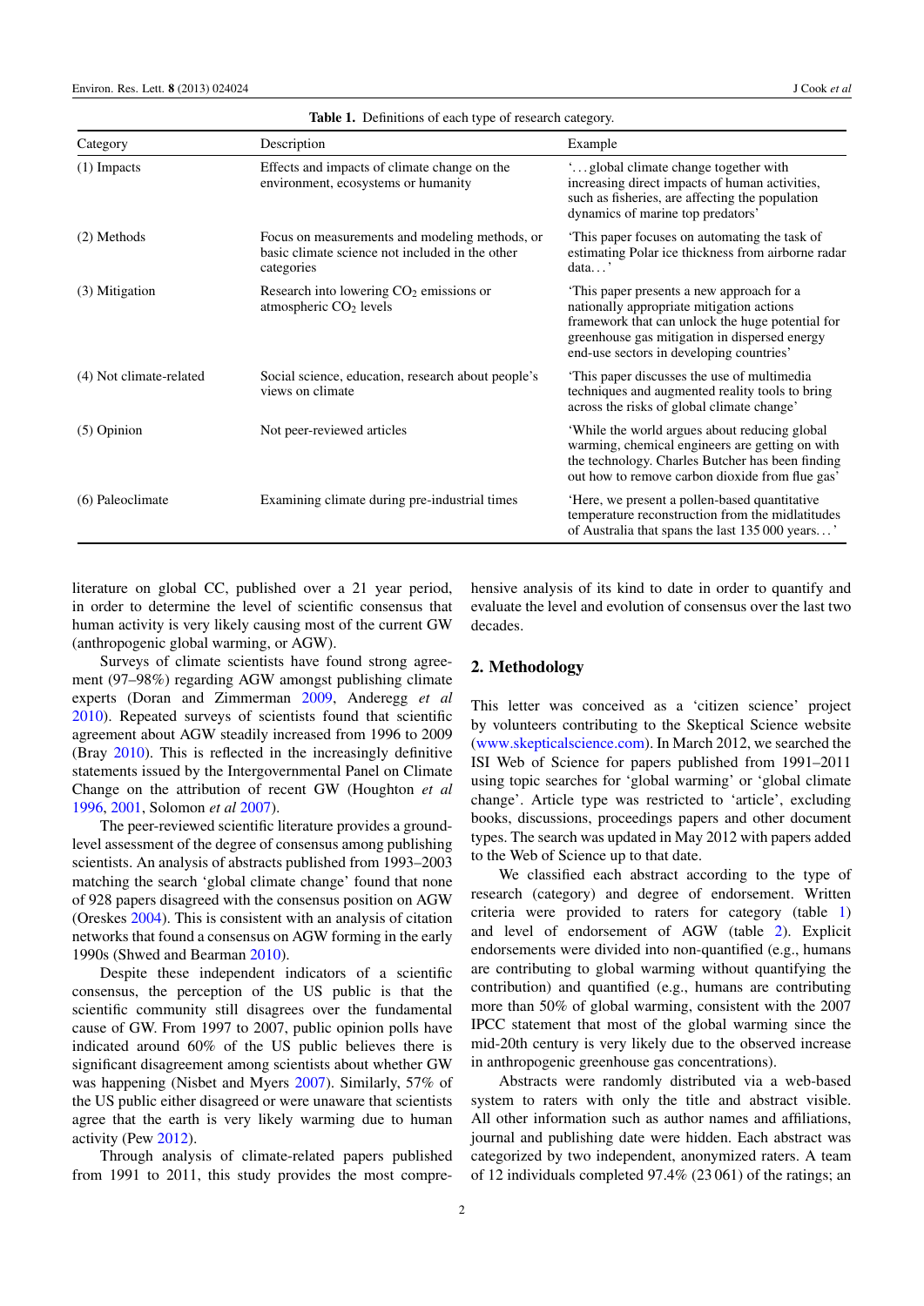<span id="page-2-0"></span>

| <b>Table 1.</b> Definitions of each type of research category. |                                                                                                                 |                                                                                                                                                                                                                                        |  |
|----------------------------------------------------------------|-----------------------------------------------------------------------------------------------------------------|----------------------------------------------------------------------------------------------------------------------------------------------------------------------------------------------------------------------------------------|--|
| Category                                                       | Description                                                                                                     | Example                                                                                                                                                                                                                                |  |
| $(1)$ Impacts                                                  | Effects and impacts of climate change on the<br>environment, ecosystems or humanity                             | global climate change together with<br>increasing direct impacts of human activities,<br>such as fisheries, are affecting the population<br>dynamics of marine top predators'                                                          |  |
| $(2)$ Methods                                                  | Focus on measurements and modeling methods, or<br>basic climate science not included in the other<br>categories | This paper focuses on automating the task of<br>estimating Polar ice thickness from airborne radar<br>data                                                                                                                             |  |
| (3) Mitigation                                                 | Research into lowering $CO2$ emissions or<br>atmospheric CO <sub>2</sub> levels                                 | This paper presents a new approach for a<br>nationally appropriate mitigation actions<br>framework that can unlock the huge potential for<br>greenhouse gas mitigation in dispersed energy<br>end-use sectors in developing countries' |  |
| (4) Not climate-related                                        | Social science, education, research about people's<br>views on climate                                          | This paper discusses the use of multimedia<br>techniques and augmented reality tools to bring<br>across the risks of global climate change'                                                                                            |  |
| $(5)$ Opinion                                                  | Not peer-reviewed articles                                                                                      | 'While the world argues about reducing global<br>warming, chemical engineers are getting on with<br>the technology. Charles Butcher has been finding<br>out how to remove carbon dioxide from flue gas'                                |  |
| (6) Paleoclimate                                               | Examining climate during pre-industrial times                                                                   | Here, we present a pollen-based quantitative<br>temperature reconstruction from the midlatitudes<br>of Australia that spans the last 135 000 years'                                                                                    |  |

literature on global CC, published over a 21 year period, in order to determine the level of scientific consensus that human activity is very likely causing most of the current GW (anthropogenic global warming, or AGW).

Surveys of climate scientists have found strong agreement (97–98%) regarding AGW amongst publishing climate experts (Doran and Zimmerman [2009,](#page-7-5) Anderegg *et al* [2010\)](#page-7-6). Repeated surveys of scientists found that scientific agreement about AGW steadily increased from 1996 to 2009 (Bray [2010\)](#page-7-7). This is reflected in the increasingly definitive statements issued by the Intergovernmental Panel on Climate Change on the attribution of recent GW (Houghton *et al* [1996,](#page-7-8) [2001,](#page-7-9) Solomon *et al* [2007\)](#page-7-10).

The peer-reviewed scientific literature provides a groundlevel assessment of the degree of consensus among publishing scientists. An analysis of abstracts published from 1993–2003 matching the search 'global climate change' found that none of 928 papers disagreed with the consensus position on AGW (Oreskes [2004\)](#page-7-4). This is consistent with an analysis of citation networks that found a consensus on AGW forming in the early 1990s (Shwed and Bearman [2010\)](#page-7-11).

Despite these independent indicators of a scientific consensus, the perception of the US public is that the scientific community still disagrees over the fundamental cause of GW. From 1997 to 2007, public opinion polls have indicated around 60% of the US public believes there is significant disagreement among scientists about whether GW was happening (Nisbet and Myers [2007\)](#page-7-12). Similarly, 57% of the US public either disagreed or were unaware that scientists agree that the earth is very likely warming due to human activity (Pew [2012\)](#page-7-3).

Through analysis of climate-related papers published from 1991 to 2011, this study provides the most comprehensive analysis of its kind to date in order to quantify and evaluate the level and evolution of consensus over the last two decades.

#### 2. Methodology

This letter was conceived as a 'citizen science' project by volunteers contributing to the Skeptical Science website [\(www.skepticalscience.com\)](http://www.skepticalscience.com). In March 2012, we searched the ISI Web of Science for papers published from 1991–2011 using topic searches for 'global warming' or 'global climate change'. Article type was restricted to 'article', excluding books, discussions, proceedings papers and other document types. The search was updated in May 2012 with papers added to the Web of Science up to that date.

We classified each abstract according to the type of research (category) and degree of endorsement. Written criteria were provided to raters for category (table [1\)](#page-2-0) and level of endorsement of AGW (table [2\)](#page-3-0). Explicit endorsements were divided into non-quantified (e.g., humans are contributing to global warming without quantifying the contribution) and quantified (e.g., humans are contributing more than 50% of global warming, consistent with the 2007 IPCC statement that most of the global warming since the mid-20th century is very likely due to the observed increase in anthropogenic greenhouse gas concentrations).

Abstracts were randomly distributed via a web-based system to raters with only the title and abstract visible. All other information such as author names and affiliations, journal and publishing date were hidden. Each abstract was categorized by two independent, anonymized raters. A team of 12 individuals completed 97.4% (23 061) of the ratings; an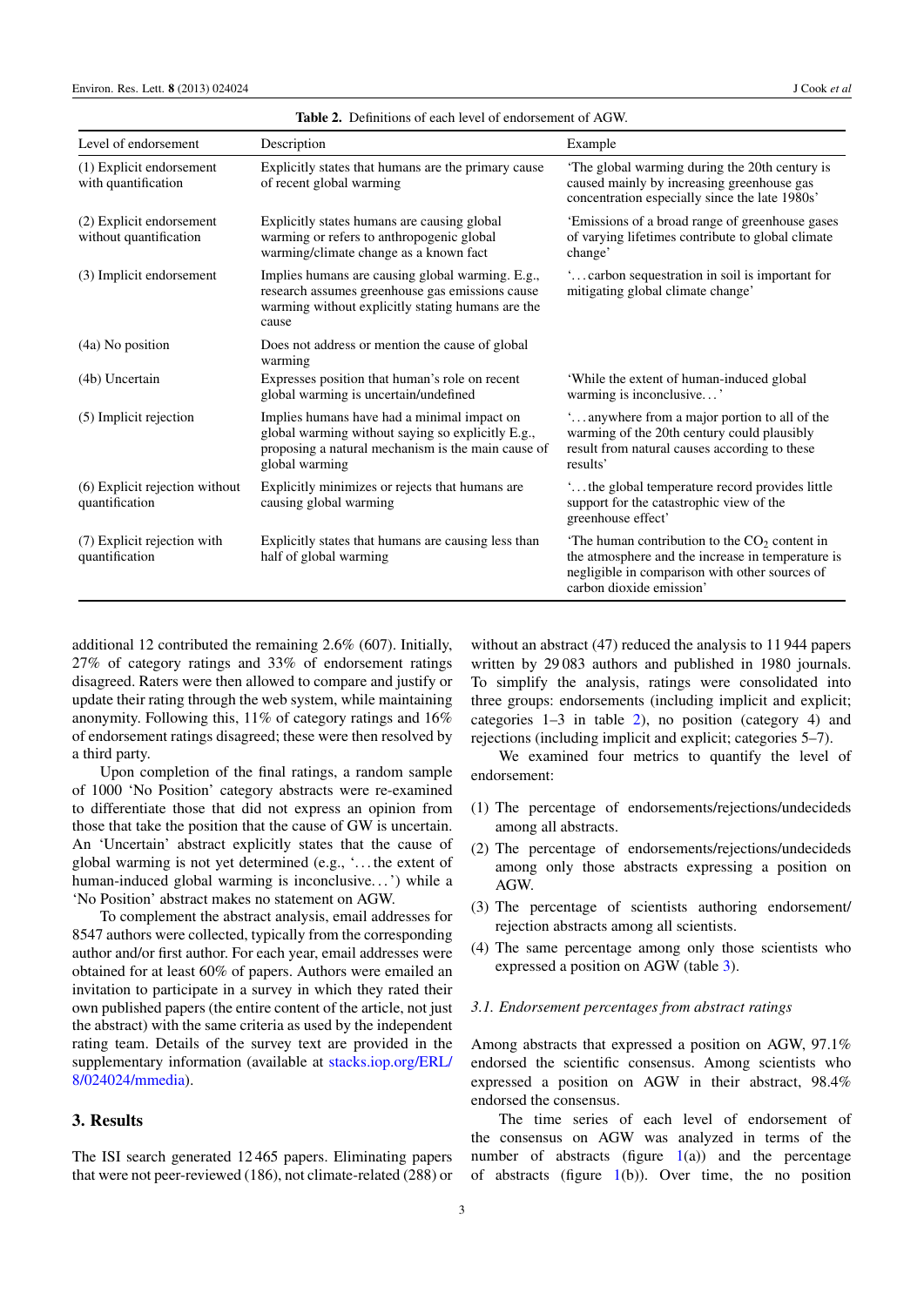<span id="page-3-0"></span>

| <b>Table 2.</b> Definitions of each level of endorsement of AGW. |                                                                                                                                                                          |                                                                                                                                                                                   |  |
|------------------------------------------------------------------|--------------------------------------------------------------------------------------------------------------------------------------------------------------------------|-----------------------------------------------------------------------------------------------------------------------------------------------------------------------------------|--|
| Level of endorsement                                             | Description                                                                                                                                                              | Example                                                                                                                                                                           |  |
| (1) Explicit endorsement<br>with quantification                  | Explicitly states that humans are the primary cause<br>of recent global warming                                                                                          | The global warming during the 20th century is<br>caused mainly by increasing greenhouse gas<br>concentration especially since the late 1980s'                                     |  |
| (2) Explicit endorsement<br>without quantification               | Explicitly states humans are causing global<br>warming or refers to anthropogenic global<br>warming/climate change as a known fact                                       | 'Emissions of a broad range of greenhouse gases<br>of varying lifetimes contribute to global climate<br>change'                                                                   |  |
| (3) Implicit endorsement                                         | Implies humans are causing global warming. E.g.,<br>research assumes greenhouse gas emissions cause<br>warming without explicitly stating humans are the<br>cause        | carbon sequestration in soil is important for<br>mitigating global climate change'                                                                                                |  |
| (4a) No position                                                 | Does not address or mention the cause of global<br>warming                                                                                                               |                                                                                                                                                                                   |  |
| (4b) Uncertain                                                   | Expresses position that human's role on recent<br>global warming is uncertain/undefined                                                                                  | 'While the extent of human-induced global<br>warming is inconclusive'                                                                                                             |  |
| (5) Implicit rejection                                           | Implies humans have had a minimal impact on<br>global warming without saying so explicitly E.g.,<br>proposing a natural mechanism is the main cause of<br>global warming | ' anywhere from a major portion to all of the<br>warming of the 20th century could plausibly<br>result from natural causes according to these<br>results'                         |  |
| (6) Explicit rejection without<br>quantification                 | Explicitly minimizes or rejects that humans are<br>causing global warming                                                                                                | the global temperature record provides little<br>support for the catastrophic view of the<br>greenhouse effect'                                                                   |  |
| (7) Explicit rejection with<br>quantification                    | Explicitly states that humans are causing less than<br>half of global warming                                                                                            | The human contribution to the $CO2$ content in<br>the atmosphere and the increase in temperature is<br>negligible in comparison with other sources of<br>carbon dioxide emission' |  |

additional 12 contributed the remaining 2.6% (607). Initially, 27% of category ratings and 33% of endorsement ratings disagreed. Raters were then allowed to compare and justify or update their rating through the web system, while maintaining anonymity. Following this, 11% of category ratings and 16% of endorsement ratings disagreed; these were then resolved by a third party.

Upon completion of the final ratings, a random sample of 1000 'No Position' category abstracts were re-examined to differentiate those that did not express an opinion from those that take the position that the cause of GW is uncertain. An 'Uncertain' abstract explicitly states that the cause of global warming is not yet determined (e.g., '. . . the extent of human-induced global warming is inconclusive...') while a 'No Position' abstract makes no statement on AGW.

To complement the abstract analysis, email addresses for 8547 authors were collected, typically from the corresponding author and/or first author. For each year, email addresses were obtained for at least 60% of papers. Authors were emailed an invitation to participate in a survey in which they rated their own published papers (the entire content of the article, not just the abstract) with the same criteria as used by the independent rating team. Details of the survey text are provided in the supplementary information (available at [stacks.iop.org/ERL/](http://stacks.iop.org/ERL/8/024024/mmedia) [8/024024/mmedia\)](http://stacks.iop.org/ERL/8/024024/mmedia).

#### 3. Results

The ISI search generated 12 465 papers. Eliminating papers that were not peer-reviewed (186), not climate-related (288) or

without an abstract (47) reduced the analysis to 11 944 papers written by 29 083 authors and published in 1980 journals. To simplify the analysis, ratings were consolidated into three groups: endorsements (including implicit and explicit; categories 1–3 in table [2\)](#page-3-0), no position (category 4) and rejections (including implicit and explicit; categories 5–7).

We examined four metrics to quantify the level of endorsement:

- (1) The percentage of endorsements/rejections/undecideds among all abstracts.
- (2) The percentage of endorsements/rejections/undecideds among only those abstracts expressing a position on AGW.
- (3) The percentage of scientists authoring endorsement/ rejection abstracts among all scientists.
- (4) The same percentage among only those scientists who expressed a position on AGW (table [3\)](#page-4-0).

#### *3.1. Endorsement percentages from abstract ratings*

Among abstracts that expressed a position on AGW, 97.1% endorsed the scientific consensus. Among scientists who expressed a position on AGW in their abstract, 98.4% endorsed the consensus.

The time series of each level of endorsement of the consensus on AGW was analyzed in terms of the number of abstracts (figure  $1(a)$  $1(a)$ ) and the percentage of abstracts (figure  $1(b)$  $1(b)$ ). Over time, the no position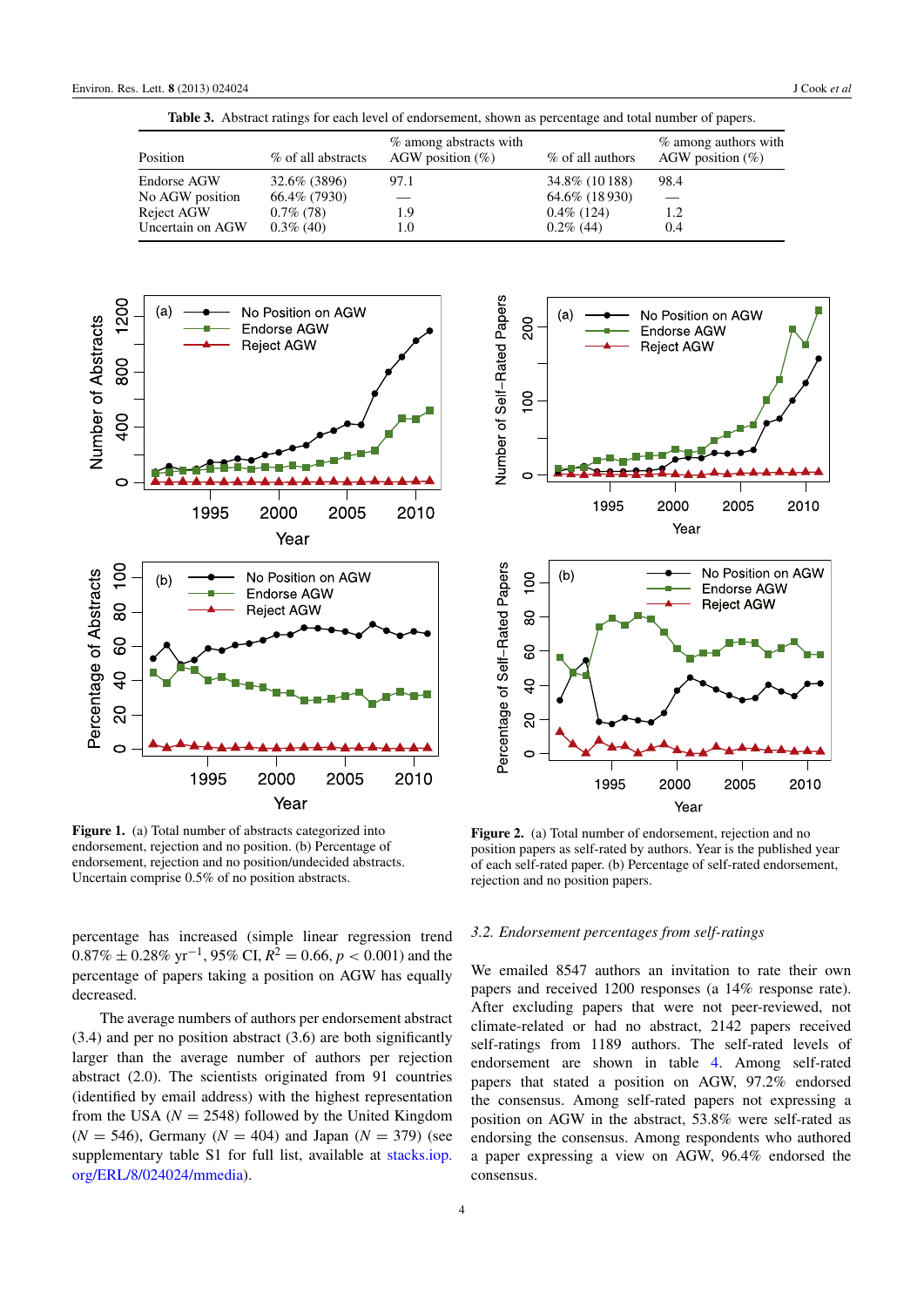Table 3. Abstract ratings for each level of endorsement, shown as percentage and total number of papers.

<span id="page-4-0"></span>

| Position         | % of all abstracts | % among abstracts with<br>AGW position $(\%)$ | % of all authors | % among authors with<br>AGW position $(\%)$ |
|------------------|--------------------|-----------------------------------------------|------------------|---------------------------------------------|
| Endorse AGW      | 32.6\% (3896)      | 97.1                                          | 34.8\% (10.188)  | 98.4                                        |
| No AGW position  | 66.4\% (7930)      |                                               | 64.6% (18930)    |                                             |
| Reject AGW       | $0.7\%$ (78)       | 1.9                                           | $0.4\%$ (124)    | 1.2                                         |
| Uncertain on AGW | $0.3\%$ (40)       | 1.0                                           | $0.2\%$ (44)     | 0.4                                         |

<span id="page-4-1"></span>

Figure 1. (a) Total number of abstracts categorized into endorsement, rejection and no position. (b) Percentage of endorsement, rejection and no position/undecided abstracts. Uncertain comprise 0.5% of no position abstracts.

percentage has increased (simple linear regression trend  $0.87\% \pm 0.28\% \text{ yr}^{-1}$ , 95% CI,  $R^2 = 0.66$ ,  $p < 0.001$ ) and the percentage of papers taking a position on AGW has equally decreased.

The average numbers of authors per endorsement abstract (3.4) and per no position abstract (3.6) are both significantly larger than the average number of authors per rejection abstract (2.0). The scientists originated from 91 countries (identified by email address) with the highest representation from the USA  $(N = 2548)$  followed by the United Kingdom  $(N = 546)$ , Germany  $(N = 404)$  and Japan  $(N = 379)$  (see supplementary table S1 for full list, available at [stacks.iop.](http://stacks.iop.org/ERL/8/024024/mmedia) [org/ERL/8/024024/mmedia\)](http://stacks.iop.org/ERL/8/024024/mmedia).

<span id="page-4-2"></span>

1995 2000 2005 2010 Year Figure 2. (a) Total number of endorsement, rejection and no position papers as self-rated by authors. Year is the published year of each self-rated paper. (b) Percentage of self-rated endorsement, rejection and no position papers.

#### *3.2. Endorsement percentages from self-ratings*

 $\Omega$ 

 $\circ$ 

We emailed 8547 authors an invitation to rate their own papers and received 1200 responses (a 14% response rate). After excluding papers that were not peer-reviewed, not climate-related or had no abstract, 2142 papers received self-ratings from 1189 authors. The self-rated levels of endorsement are shown in table [4.](#page-5-0) Among self-rated papers that stated a position on AGW, 97.2% endorsed the consensus. Among self-rated papers not expressing a position on AGW in the abstract, 53.8% were self-rated as endorsing the consensus. Among respondents who authored a paper expressing a view on AGW, 96.4% endorsed the consensus.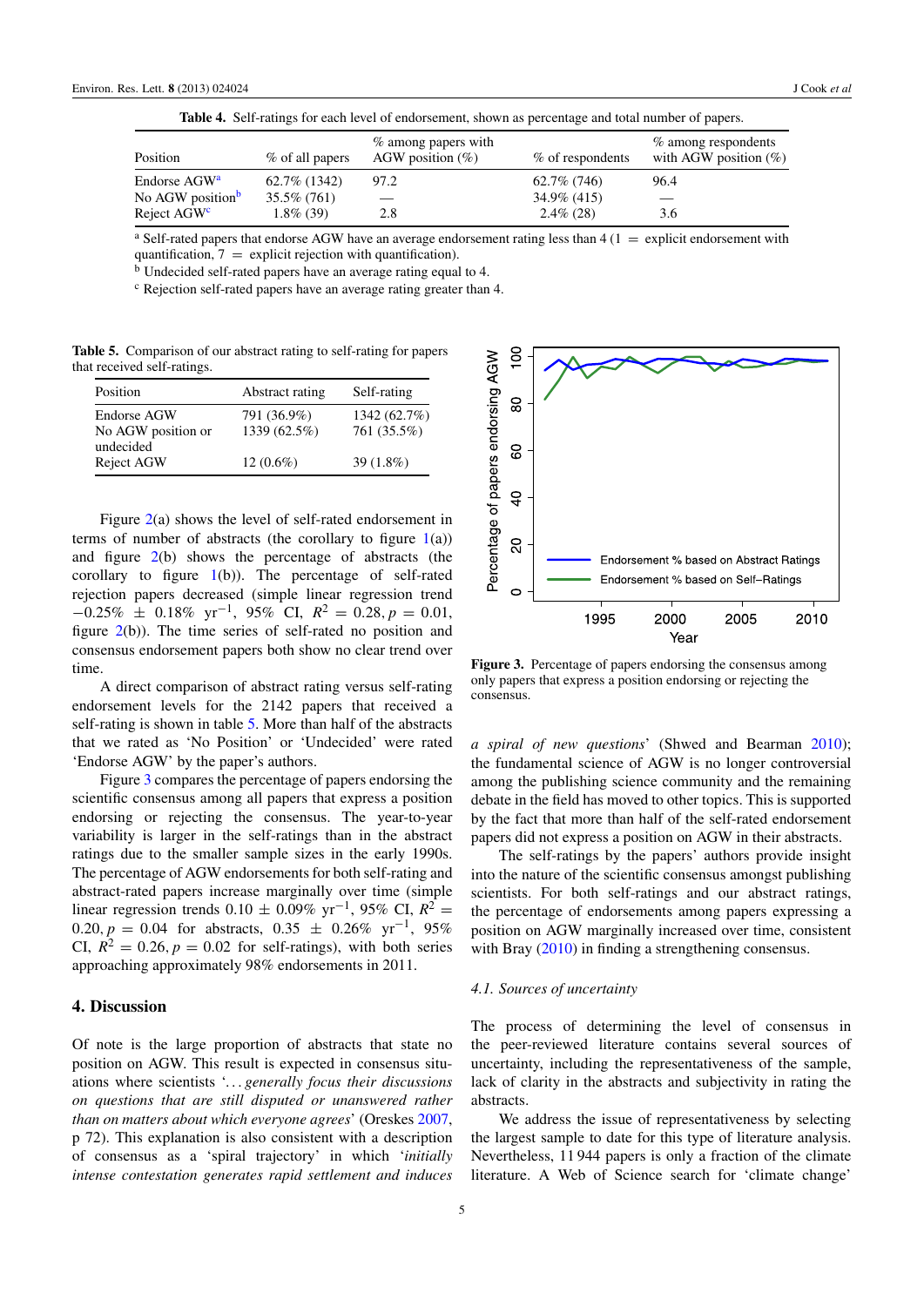Table 4. Self-ratings for each level of endorsement, shown as percentage and total number of papers.

<span id="page-5-0"></span>

| Position                     | % of all papers | % among papers with<br>AGW position $(\%)$ | % of respondents | % among respondents<br>with AGW position $(\%)$ |
|------------------------------|-----------------|--------------------------------------------|------------------|-------------------------------------------------|
| Endorse AGW <sup>a</sup>     | $62.7\%$ (1342) | 97.2                                       | $62.7\%$ (746)   | 96.4                                            |
| No AGW position <sup>b</sup> | 35.5% (761)     |                                            | 34.9% (415)      |                                                 |
| Reject AGW <sup>e</sup>      | $1.8\%$ (39)    | 2.8                                        | $2.4\%$ (28)     | 3.6                                             |

<span id="page-5-1"></span><sup>a</sup> Self-rated papers that endorse AGW have an average endorsement rating less than  $4(1 =$  explicit endorsement with quantification,  $7 =$  explicit rejection with quantification).

<span id="page-5-2"></span><sup>b</sup> Undecided self-rated papers have an average rating equal to 4.

<span id="page-5-3"></span><sup>c</sup> Rejection self-rated papers have an average rating greater than 4.

<span id="page-5-4"></span>Table 5. Comparison of our abstract rating to self-rating for papers that received self-ratings.

| Position                                       | Abstract rating             | Self-rating                 |
|------------------------------------------------|-----------------------------|-----------------------------|
| Endorse AGW<br>No AGW position or<br>undecided | 791 (36.9%)<br>1339 (62.5%) | 1342 (62.7%)<br>761 (35.5%) |
| Reject AGW                                     | $12(0.6\%)$                 | $39(1.8\%)$                 |

Figure [2\(](#page-4-2)a) shows the level of self-rated endorsement in terms of number of abstracts (the corollary to figure  $1(a)$  $1(a)$ ) and figure [2\(](#page-4-2)b) shows the percentage of abstracts (the corollary to figure  $1(b)$  $1(b)$ ). The percentage of self-rated rejection papers decreased (simple linear regression trend  $-0.25\%$  ± 0.18% yr<sup>-1</sup>, 95% CI,  $R^2 = 0.28, p = 0.01$ , figure [2\(](#page-4-2)b)). The time series of self-rated no position and consensus endorsement papers both show no clear trend over time.

A direct comparison of abstract rating versus self-rating endorsement levels for the 2142 papers that received a self-rating is shown in table [5.](#page-5-4) More than half of the abstracts that we rated as 'No Position' or 'Undecided' were rated 'Endorse AGW' by the paper's authors.

Figure [3](#page-5-5) compares the percentage of papers endorsing the scientific consensus among all papers that express a position endorsing or rejecting the consensus. The year-to-year variability is larger in the self-ratings than in the abstract ratings due to the smaller sample sizes in the early 1990s. The percentage of AGW endorsements for both self-rating and abstract-rated papers increase marginally over time (simple linear regression trends  $0.10 \pm 0.09\% \text{ yr}^{-1}$ , 95% CI,  $R^2$  = 0.20,  $p = 0.04$  for abstracts, 0.35 ± 0.26% yr<sup>-1</sup>, 95% CI,  $R^2 = 0.26$ ,  $p = 0.02$  for self-ratings), with both series approaching approximately 98% endorsements in 2011.

#### 4. Discussion

Of note is the large proportion of abstracts that state no position on AGW. This result is expected in consensus situations where scientists '*. . . generally focus their discussions on questions that are still disputed or unanswered rather than on matters about which everyone agrees*' (Oreskes [2007,](#page-7-13) p 72). This explanation is also consistent with a description of consensus as a 'spiral trajectory' in which '*initially intense contestation generates rapid settlement and induces*

<span id="page-5-5"></span>

Figure 3. Percentage of papers endorsing the consensus among only papers that express a position endorsing or rejecting the consensus.

*a spiral of new questions*' (Shwed and Bearman [2010\)](#page-7-11); the fundamental science of AGW is no longer controversial among the publishing science community and the remaining debate in the field has moved to other topics. This is supported by the fact that more than half of the self-rated endorsement papers did not express a position on AGW in their abstracts.

The self-ratings by the papers' authors provide insight into the nature of the scientific consensus amongst publishing scientists. For both self-ratings and our abstract ratings, the percentage of endorsements among papers expressing a position on AGW marginally increased over time, consistent with Bray [\(2010\)](#page-7-7) in finding a strengthening consensus.

#### *4.1. Sources of uncertainty*

The process of determining the level of consensus in the peer-reviewed literature contains several sources of uncertainty, including the representativeness of the sample, lack of clarity in the abstracts and subjectivity in rating the abstracts.

We address the issue of representativeness by selecting the largest sample to date for this type of literature analysis. Nevertheless, 11 944 papers is only a fraction of the climate literature. A Web of Science search for 'climate change'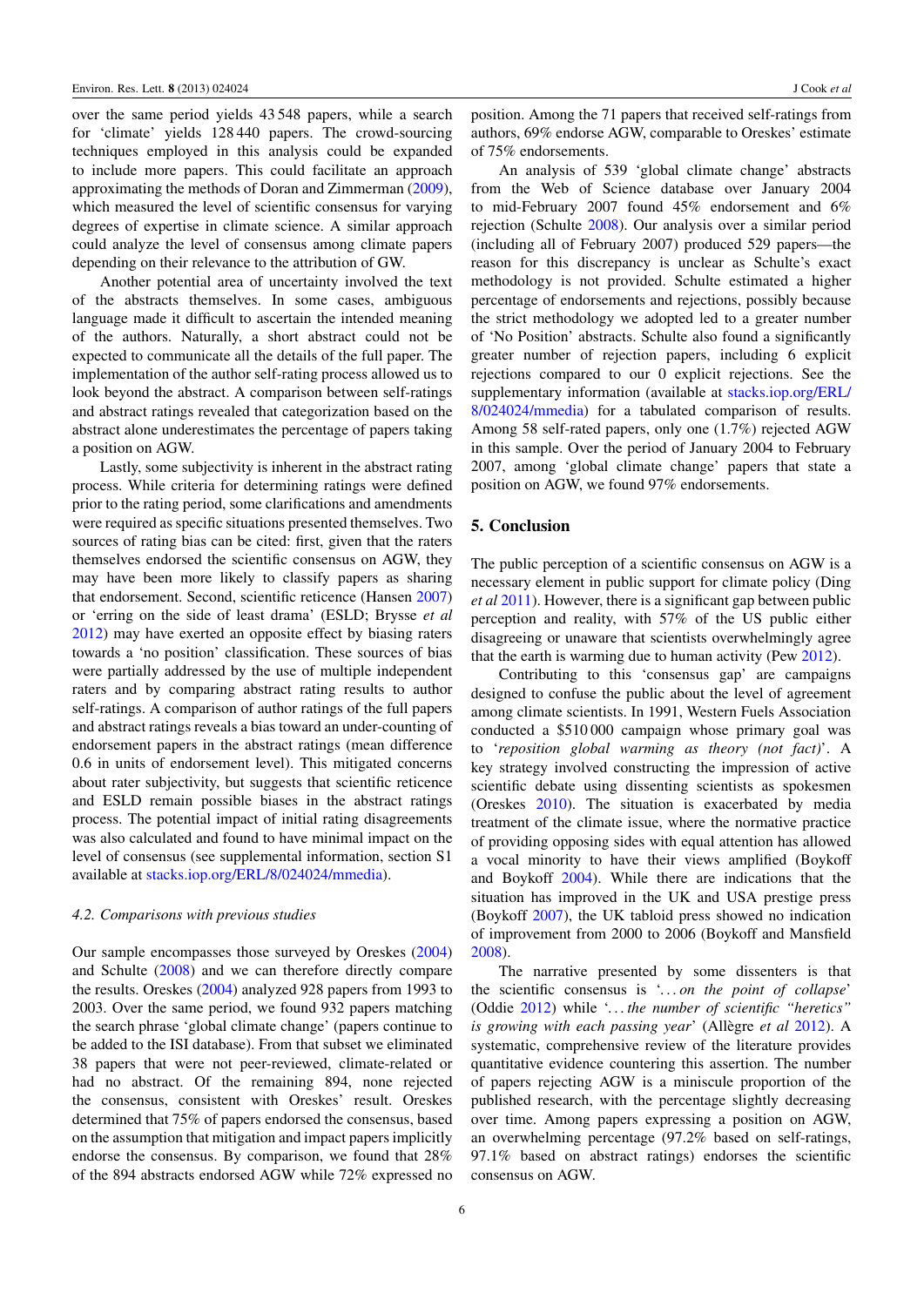over the same period yields 43 548 papers, while a search for 'climate' yields 128 440 papers. The crowd-sourcing techniques employed in this analysis could be expanded to include more papers. This could facilitate an approach approximating the methods of Doran and Zimmerman [\(2009\)](#page-7-5), which measured the level of scientific consensus for varying degrees of expertise in climate science. A similar approach could analyze the level of consensus among climate papers depending on their relevance to the attribution of GW.

Another potential area of uncertainty involved the text of the abstracts themselves. In some cases, ambiguous language made it difficult to ascertain the intended meaning of the authors. Naturally, a short abstract could not be expected to communicate all the details of the full paper. The implementation of the author self-rating process allowed us to look beyond the abstract. A comparison between self-ratings and abstract ratings revealed that categorization based on the abstract alone underestimates the percentage of papers taking a position on AGW.

Lastly, some subjectivity is inherent in the abstract rating process. While criteria for determining ratings were defined prior to the rating period, some clarifications and amendments were required as specific situations presented themselves. Two sources of rating bias can be cited: first, given that the raters themselves endorsed the scientific consensus on AGW, they may have been more likely to classify papers as sharing that endorsement. Second, scientific reticence (Hansen [2007\)](#page-7-14) or 'erring on the side of least drama' (ESLD; Brysse *et al* [2012\)](#page-7-15) may have exerted an opposite effect by biasing raters towards a 'no position' classification. These sources of bias were partially addressed by the use of multiple independent raters and by comparing abstract rating results to author self-ratings. A comparison of author ratings of the full papers and abstract ratings reveals a bias toward an under-counting of endorsement papers in the abstract ratings (mean difference 0.6 in units of endorsement level). This mitigated concerns about rater subjectivity, but suggests that scientific reticence and ESLD remain possible biases in the abstract ratings process. The potential impact of initial rating disagreements was also calculated and found to have minimal impact on the level of consensus (see supplemental information, section S1 available at [stacks.iop.org/ERL/8/024024/mmedia\)](http://stacks.iop.org/ERL/8/024024/mmedia).

#### *4.2. Comparisons with previous studies*

Our sample encompasses those surveyed by Oreskes [\(2004\)](#page-7-4) and Schulte [\(2008\)](#page-7-16) and we can therefore directly compare the results. Oreskes [\(2004\)](#page-7-4) analyzed 928 papers from 1993 to 2003. Over the same period, we found 932 papers matching the search phrase 'global climate change' (papers continue to be added to the ISI database). From that subset we eliminated 38 papers that were not peer-reviewed, climate-related or had no abstract. Of the remaining 894, none rejected the consensus, consistent with Oreskes' result. Oreskes determined that 75% of papers endorsed the consensus, based on the assumption that mitigation and impact papers implicitly endorse the consensus. By comparison, we found that 28% of the 894 abstracts endorsed AGW while 72% expressed no position. Among the 71 papers that received self-ratings from authors, 69% endorse AGW, comparable to Oreskes' estimate of 75% endorsements.

An analysis of 539 'global climate change' abstracts from the Web of Science database over January 2004 to mid-February 2007 found 45% endorsement and 6% rejection (Schulte [2008\)](#page-7-16). Our analysis over a similar period (including all of February 2007) produced 529 papers—the reason for this discrepancy is unclear as Schulte's exact methodology is not provided. Schulte estimated a higher percentage of endorsements and rejections, possibly because the strict methodology we adopted led to a greater number of 'No Position' abstracts. Schulte also found a significantly greater number of rejection papers, including 6 explicit rejections compared to our 0 explicit rejections. See the supplementary information (available at [stacks.iop.org/ERL/](http://stacks.iop.org/ERL/8/024024/mmedia) [8/024024/mmedia\)](http://stacks.iop.org/ERL/8/024024/mmedia) for a tabulated comparison of results. Among 58 self-rated papers, only one (1.7%) rejected AGW in this sample. Over the period of January 2004 to February 2007, among 'global climate change' papers that state a position on AGW, we found 97% endorsements.

#### 5. Conclusion

The public perception of a scientific consensus on AGW is a necessary element in public support for climate policy (Ding *et al* [2011\)](#page-7-0). However, there is a significant gap between public perception and reality, with 57% of the US public either disagreeing or unaware that scientists overwhelmingly agree that the earth is warming due to human activity (Pew [2012\)](#page-7-3).

Contributing to this 'consensus gap' are campaigns designed to confuse the public about the level of agreement among climate scientists. In 1991, Western Fuels Association conducted a \$510 000 campaign whose primary goal was to '*reposition global warming as theory (not fact)*'. A key strategy involved constructing the impression of active scientific debate using dissenting scientists as spokesmen (Oreskes [2010\)](#page-7-17). The situation is exacerbated by media treatment of the climate issue, where the normative practice of providing opposing sides with equal attention has allowed a vocal minority to have their views amplified (Boykoff and Boykoff [2004\)](#page-7-18). While there are indications that the situation has improved in the UK and USA prestige press (Boykoff [2007\)](#page-7-19), the UK tabloid press showed no indication of improvement from 2000 to 2006 (Boykoff and Mansfield [2008\)](#page-7-20).

The narrative presented by some dissenters is that the scientific consensus is '*. . . on the point of collapse*' (Oddie [2012\)](#page-7-21) while '*. . . the number of scientific "heretics" is growing with each passing year*' (Allègre *et al* [2012\)](#page-7-22). A systematic, comprehensive review of the literature provides quantitative evidence countering this assertion. The number of papers rejecting AGW is a miniscule proportion of the published research, with the percentage slightly decreasing over time. Among papers expressing a position on AGW, an overwhelming percentage (97.2% based on self-ratings, 97.1% based on abstract ratings) endorses the scientific consensus on AGW.